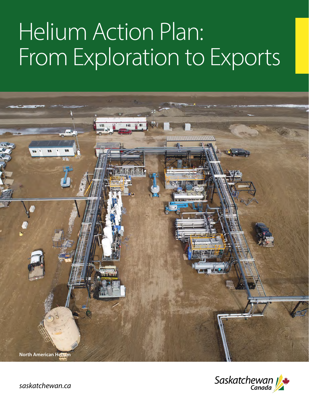# Helium Action Plan: From Exploration to Exports





*saskatchewan.ca*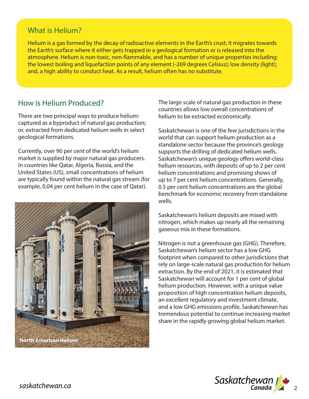## What is Helium?

Helium is a gas formed by the decay of radioactive elements in the Earth's crust; it migrates towards the Earth's surface where it either gets trapped in a geological formation or is released into the atmosphere. Helium is non-toxic, non-flammable, and has a number of unique properties including: the lowest boiling and liquefaction points of any element (-269 degrees Celsius); low density (light); and, a high ability to conduct heat. As a result, helium often has no substitute.

# How is Helium Produced?

There are two principal ways to produce helium: captured as a byproduct of natural gas production; or, extracted from dedicated helium wells in select geological formations.

Currently, over 90 per cent of the world's helium market is supplied by major natural gas producers. In countries like Qatar, Algeria, Russia, and the United States (US), small concentrations of helium are typically found within the natural gas stream (for example, 0.04 per cent helium in the case of Qatar).



The large scale of natural gas production in these countries allows low overall concentrations of helium to be extracted economically.

Saskatchewan is one of the few jurisdictions in the world that can support helium production as a standalone sector because the province's geology supports the drilling of dedicated helium wells. Saskatchewan's unique geology offers world-class helium resources, with deposits of up to 2 per cent helium concentrations and promising shows of up to 7 per cent helium concentrations. Generally, 0.5 per cent helium concentrations are the global benchmark for economic recovery from standalone wells.

Saskatchewan's helium deposits are mixed with nitrogen, which makes up nearly all the remaining gaseous mix in these formations.

Nitrogen is not a greenhouse gas (GHG). Therefore, Saskatchewan's helium sector has a low GHG footprint when compared to other jurisdictions that rely on large-scale natural gas production for helium extraction. By the end of 2021, it is estimated that Saskatchewan will account for 1 per cent of global helium production. However, with a unique value proposition of high concentration helium deposits, an excellent regulatory and investment climate, and a low GHG emissions profile, Saskatchewan has tremendous potential to continue increasing market share in the rapidly growing global helium market.

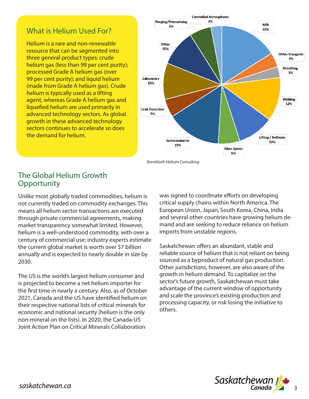# What is Helium Used For?

Helium is a rare and non-renewable resource that can be segmented into three general product types: crude helium gas (less than 99 per cent purity); processed Grade A helium gas (over 99 per cent purity); and liquid helium (made from Grade A helium gas). Crude helium is typically used as a lifting agent, whereas Grade A helium gas and liquefied helium are used primarily in advanced technology sectors. As global growth in these advanced technology sectors continues to accelerate so does the demand for helium.



*Kornbluth Helium Consulting*

### The Global Helium Growth **Opportunity**

Unlike most globally traded commodities, helium is not currently traded on commodity exchanges. This means all helium sector transactions are executed through private commercial agreements, making market transparency somewhat limited. However, helium is a well-understood commodity, with over a century of commercial use; industry experts estimate the current global market is worth over \$7 billion annually and is expected to nearly double in size by 2030.

The US is the world's largest helium consumer and is projected to become a net helium importer for the first time in nearly a century. Also, as of October 2021, Canada and the US have identified helium on their respective national lists of critical minerals for economic and national security (helium is the only non-mineral on the lists). In 2020, the Canada-US Joint Action Plan on Critical Minerals Collaboration

was signed to coordinate efforts on developing critical supply chains within North America. The European Union, Japan, South Korea, China, India and several other countries have growing helium demand and are seeking to reduce reliance on helium imports from unstable regions.

Saskatchewan offers an abundant, stable and reliable source of helium that is not reliant on being sourced as a byproduct of natural gas production. Other jurisdictions, however, are also aware of the growth in helium demand. To capitalize on the sector's future growth, Saskatchewan must take advantage of the current window of opportunity and scale the province's existing production and processing capacity, or risk losing the initiative to others.

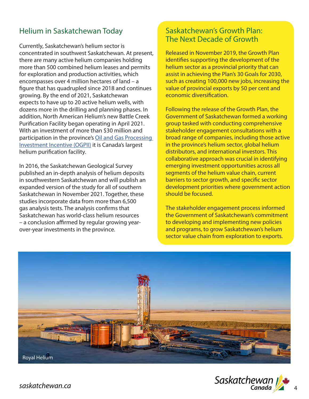# Helium in Saskatchewan Today

Currently, Saskatchewan's helium sector is concentrated in southwest Saskatchewan. At present, there are many active helium companies holding more than 500 combined helium leases and permits for exploration and production activities, which encompasses over 4 million hectares of land – a figure that has quadrupled since 2018 and continues growing. By the end of 2021, Saskatchewan expects to have up to 20 active helium wells, with dozens more in the drilling and planning phases. In addition, North American Helium's new Battle Creek Purification Facility began operating in April 2021. With an investment of more than \$30 million and participation in the province's Oil and Gas Processing Investment Incentive (OGPII) it is Canada's largest helium purification facility.

In 2016, the Saskatchewan Geological Survey published an in-depth analysis of helium deposits in southwestern Saskatchewan and will publish an expanded version of the study for all of southern Saskatchewan in November 2021. Together, these studies incorporate data from more than 6,500 gas analysis tests. The analysis confirms that Saskatchewan has world-class helium resources – a conclusion affirmed by regular growing yearover-year investments in the province.

# Saskatchewan's Growth Plan: The Next Decade of Growth

Released in November 2019, the Growth Plan identifies supporting the development of the helium sector as a provincial priority that can assist in achieving the Plan's 30 Goals for 2030, such as creating 100,000 new jobs, increasing the value of provincial exports by 50 per cent and economic diversification.

Following the release of the Growth Plan, the Government of Saskatchewan formed a working group tasked with conducting comprehensive stakeholder engagement consultations with a broad range of companies, including those active in the province's helium sector, global helium distributors, and international investors. This collaborative approach was crucial in identifying emerging investment opportunities across all segments of the helium value chain, current barriers to sector growth, and specific sector development priorities where government action should be focused.

The stakeholder engagement process informed the Government of Saskatchewan's commitment to developing and implementing new policies and programs, to grow Saskatchewan's helium sector value chain from exploration to exports.



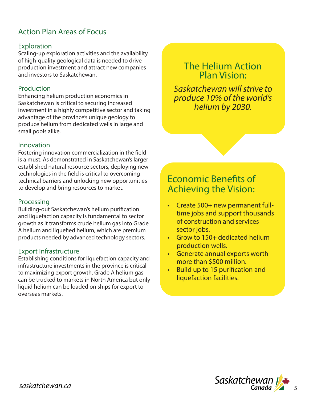# Action Plan Areas of Focus

#### **Exploration**

Scaling-up exploration activities and the availability of high-quality geological data is needed to drive production investment and attract new companies and investors to Saskatchewan.

#### Production

Enhancing helium production economics in Saskatchewan is critical to securing increased investment in a highly competitive sector and taking advantage of the province's unique geology to produce helium from dedicated wells in large and small pools alike.

#### Innovation

Fostering innovation commercialization in the field is a must. As demonstrated in Saskatchewan's larger established natural resource sectors, deploying new technologies in the field is critical to overcoming technical barriers and unlocking new opportunities to develop and bring resources to market.

#### Processing

Building-out Saskatchewan's helium purification and liquefaction capacity is fundamental to sector growth as it transforms crude helium gas into Grade A helium and liquefied helium, which are premium products needed by advanced technology sectors.

#### Export Infrastructure

Establishing conditions for liquefaction capacity and infrastructure investments in the province is critical to maximizing export growth. Grade A helium gas can be trucked to markets in North America but only liquid helium can be loaded on ships for export to overseas markets.

# The Helium Action Plan Vision:

*Saskatchewan will strive to produce 10% of the world's helium by 2030.*

# Economic Benefits of Achieving the Vision:

- Create 500+ new permanent fulltime jobs and support thousands of construction and services sector jobs.
- Grow to 150+ dedicated helium production wells.
- Generate annual exports worth more than \$500 million.
- Build up to 15 purification and liquefaction facilities.

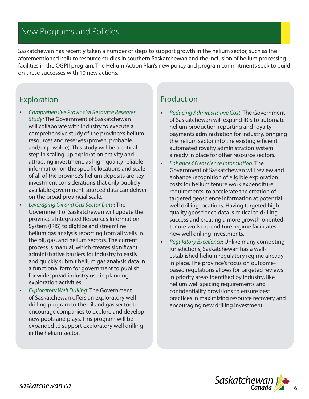# New Programs and Policies

Saskatchewan has recently taken a number of steps to support growth in the helium sector, such as the aforementioned helium resource studies in southern Saskatchewan and the inclusion of helium processing facilities in the OGPII program. The Helium Action Plan's new policy and program commitments seek to build on these successes with 10 new actions.

# Exploration

- *• Comprehensive Provincial Resource Reserves Study:* The Government of Saskatchewan will collaborate with industry to execute a comprehensive study of the province's helium resources and reserves (proven, probable and/or possible). This study will be a critical step in scaling-up exploration activity and attracting investment, as high-quality reliable information on the specific locations and scale of all of the province's helium deposits are key investment considerations that only publicly available government-sourced data can deliver on the broad provincial scale.
- *• Leveraging Oil and Gas Sector Data*: The Government of Saskatchewan will update the province's Integrated Resources Information System (IRIS) to digitize and streamline helium gas analysis reporting from all wells in the oil, gas, and helium sectors. The current process is manual, which creates significant administrative barriers for industry to easily and quickly submit helium gas analysis data in a functional form for government to publish for widespread industry use in planning exploration activities.
- *• Exploratory Well Drilling*: The Government of Saskatchewan offers an exploratory well drilling program to the oil and gas sector to encourage companies to explore and develop new pools and plays. This program will be expanded to support exploratory well drilling in the helium sector.

# Production

- *Reducing Administrative Cost*: The Government of Saskatchewan will expand IRIS to automate helium production reporting and royalty payments administration for industry, bringing the helium sector into the existing efficient automated royalty administration system already in place for other resource sectors.
- *Enhanced Geoscience Information:* The Government of Saskatchewan will review and enhance recognition of eligible exploration costs for helium tenure work expenditure requirements, to accelerate the creation of targeted geoscience information at potential well drilling locations. Having targeted highquality geoscience data is critical to drilling success and creating a more growth-oriented tenure work expenditure regime facilitates new well drilling investments.
- *Regulatory Excellence*: Unlike many competing jurisdictions, Saskatchewan has a wellestablished helium regulatory regime already in place. The province's focus on outcomebased regulations allows for targeted reviews in priority areas identified by industry, like helium well spacing requirements and confidentiality provisions to ensure best practices in maximizing resource recovery and encouraging new drilling investment.